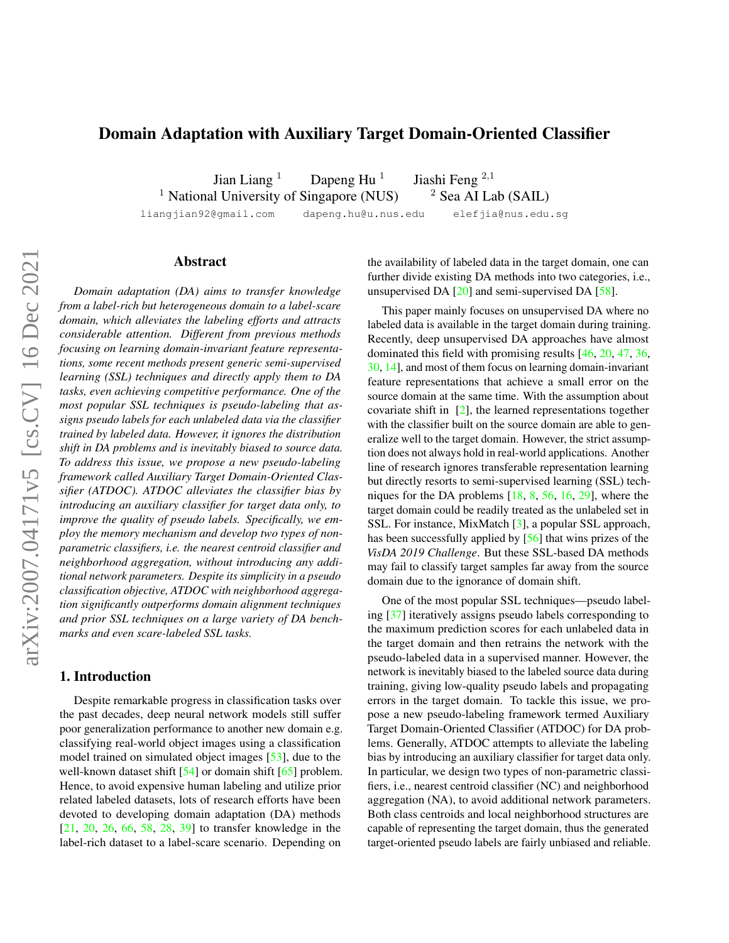# <span id="page-0-0"></span>Domain Adaptation with Auxiliary Target Domain-Oriented Classifier

Jian Liang  $1$  Dapeng Hu  $1$ Jiashi Feng <sup>2</sup>,<sup>1</sup> <sup>1</sup> National University of Singapore (NUS)  $\frac{2}{3}$  Sea AI Lab (SAIL)

liangjian92@gmail.com dapeng.hu@u.nus.edu elefjia@nus.edu.sg

## Abstract

*Domain adaptation (DA) aims to transfer knowledge from a label-rich but heterogeneous domain to a label-scare domain, which alleviates the labeling efforts and attracts considerable attention. Different from previous methods focusing on learning domain-invariant feature representations, some recent methods present generic semi-supervised learning (SSL) techniques and directly apply them to DA tasks, even achieving competitive performance. One of the most popular SSL techniques is pseudo-labeling that assigns pseudo labels for each unlabeled data via the classifier trained by labeled data. However, it ignores the distribution shift in DA problems and is inevitably biased to source data. To address this issue, we propose a new pseudo-labeling framework called Auxiliary Target Domain-Oriented Classifier (ATDOC). ATDOC alleviates the classifier bias by introducing an auxiliary classifier for target data only, to improve the quality of pseudo labels. Specifically, we employ the memory mechanism and develop two types of nonparametric classifiers, i.e. the nearest centroid classifier and neighborhood aggregation, without introducing any additional network parameters. Despite its simplicity in a pseudo classification objective, ATDOC with neighborhood aggregation significantly outperforms domain alignment techniques and prior SSL techniques on a large variety of DA benchmarks and even scare-labeled SSL tasks.*

### 1. Introduction

Despite remarkable progress in classification tasks over the past decades, deep neural network models still suffer poor generalization performance to another new domain e.g. classifying real-world object images using a classification model trained on simulated object images [\[53\]](#page-10-0), due to the well-known dataset shift [\[54\]](#page-10-1) or domain shift [\[65\]](#page-10-2) problem. Hence, to avoid expensive human labeling and utilize prior related labeled datasets, lots of research efforts have been devoted to developing domain adaptation (DA) methods [\[21,](#page-9-0) [20,](#page-9-1) [26,](#page-9-2) [66,](#page-10-3) [58,](#page-10-4) [28,](#page-9-3) [39\]](#page-9-4) to transfer knowledge in the label-rich dataset to a label-scare scenario. Depending on

the availability of labeled data in the target domain, one can further divide existing DA methods into two categories, i.e., unsupervised DA [\[20\]](#page-9-1) and semi-supervised DA [\[58\]](#page-10-4).

This paper mainly focuses on unsupervised DA where no labeled data is available in the target domain during training. Recently, deep unsupervised DA approaches have almost dominated this field with promising results [\[46,](#page-9-5) [20,](#page-9-1) [47,](#page-9-6) [36,](#page-9-7) [30,](#page-9-8) [14\]](#page-8-0), and most of them focus on learning domain-invariant feature representations that achieve a small error on the source domain at the same time. With the assumption about covariate shift in [\[2\]](#page-8-1), the learned representations together with the classifier built on the source domain are able to generalize well to the target domain. However, the strict assumption does not always hold in real-world applications. Another line of research ignores transferable representation learning but directly resorts to semi-supervised learning (SSL) techniques for the DA problems [\[18,](#page-8-2) [8,](#page-8-3) [56,](#page-10-5) [16,](#page-8-4) [29\]](#page-9-9), where the target domain could be readily treated as the unlabeled set in SSL. For instance, MixMatch [\[3\]](#page-8-5), a popular SSL approach, has been successfully applied by [\[56\]](#page-10-5) that wins prizes of the *VisDA 2019 Challenge*. But these SSL-based DA methods may fail to classify target samples far away from the source domain due to the ignorance of domain shift.

One of the most popular SSL techniques—pseudo labeling [\[37\]](#page-9-10) iteratively assigns pseudo labels corresponding to the maximum prediction scores for each unlabeled data in the target domain and then retrains the network with the pseudo-labeled data in a supervised manner. However, the network is inevitably biased to the labeled source data during training, giving low-quality pseudo labels and propagating errors in the target domain. To tackle this issue, we propose a new pseudo-labeling framework termed Auxiliary Target Domain-Oriented Classifier (ATDOC) for DA problems. Generally, ATDOC attempts to alleviate the labeling bias by introducing an auxiliary classifier for target data only. In particular, we design two types of non-parametric classifiers, i.e., nearest centroid classifier (NC) and neighborhood aggregation (NA), to avoid additional network parameters. Both class centroids and local neighborhood structures are capable of representing the target domain, thus the generated target-oriented pseudo labels are fairly unbiased and reliable.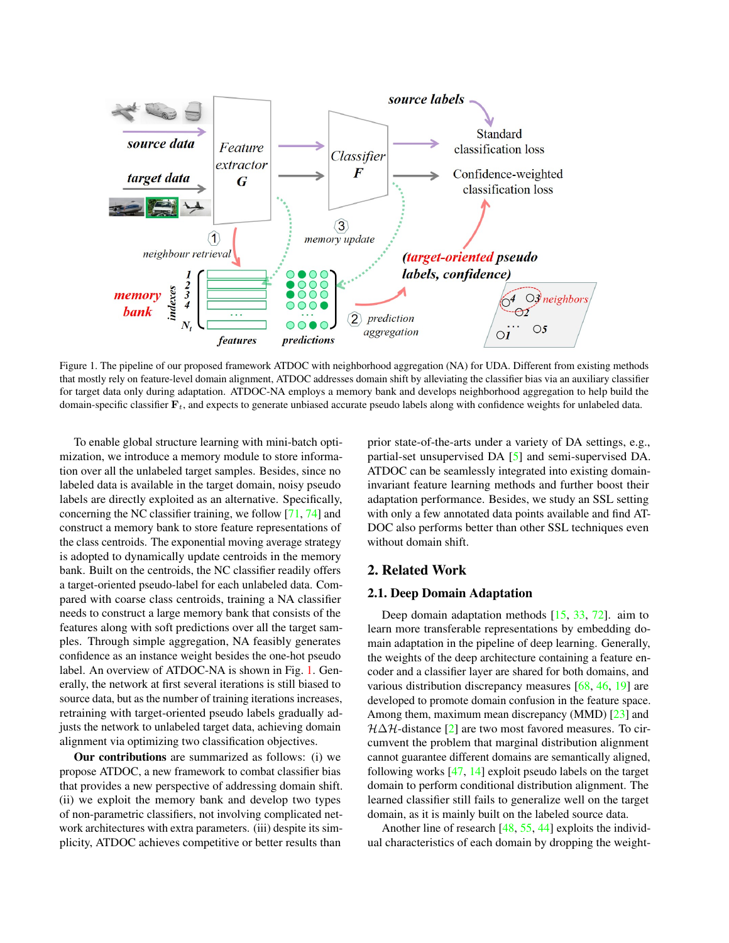<span id="page-1-1"></span>

<span id="page-1-0"></span>Figure 1. The pipeline of our proposed framework ATDOC with neighborhood aggregation (NA) for UDA. Different from existing methods that mostly rely on feature-level domain alignment, ATDOC addresses domain shift by alleviating the classifier bias via an auxiliary classifier for target data only during adaptation. ATDOC-NA employs a memory bank and develops neighborhood aggregation to help build the domain-specific classifier  $F_t$ , and expects to generate unbiased accurate pseudo labels along with confidence weights for unlabeled data.

To enable global structure learning with mini-batch optimization, we introduce a memory module to store information over all the unlabeled target samples. Besides, since no labeled data is available in the target domain, noisy pseudo labels are directly exploited as an alternative. Specifically, concerning the NC classifier training, we follow [\[71,](#page-10-6) [74\]](#page-10-7) and construct a memory bank to store feature representations of the class centroids. The exponential moving average strategy is adopted to dynamically update centroids in the memory bank. Built on the centroids, the NC classifier readily offers a target-oriented pseudo-label for each unlabeled data. Compared with coarse class centroids, training a NA classifier needs to construct a large memory bank that consists of the features along with soft predictions over all the target samples. Through simple aggregation, NA feasibly generates confidence as an instance weight besides the one-hot pseudo label. An overview of ATDOC-NA is shown in Fig. [1.](#page-1-0) Generally, the network at first several iterations is still biased to source data, but as the number of training iterations increases, retraining with target-oriented pseudo labels gradually adjusts the network to unlabeled target data, achieving domain alignment via optimizing two classification objectives.

Our contributions are summarized as follows: (i) we propose ATDOC, a new framework to combat classifier bias that provides a new perspective of addressing domain shift. (ii) we exploit the memory bank and develop two types of non-parametric classifiers, not involving complicated network architectures with extra parameters. (iii) despite its simplicity, ATDOC achieves competitive or better results than

prior state-of-the-arts under a variety of DA settings, e.g., partial-set unsupervised DA [\[5\]](#page-8-6) and semi-supervised DA. ATDOC can be seamlessly integrated into existing domaininvariant feature learning methods and further boost their adaptation performance. Besides, we study an SSL setting with only a few annotated data points available and find AT-DOC also performs better than other SSL techniques even without domain shift.

### 2. Related Work

### 2.1. Deep Domain Adaptation

Deep domain adaptation methods [\[15,](#page-8-7) [33,](#page-9-11) [72\]](#page-10-8). aim to learn more transferable representations by embedding domain adaptation in the pipeline of deep learning. Generally, the weights of the deep architecture containing a feature encoder and a classifier layer are shared for both domains, and various distribution discrepancy measures [\[68,](#page-10-9) [46,](#page-9-5) [19\]](#page-8-8) are developed to promote domain confusion in the feature space. Among them, maximum mean discrepancy (MMD) [\[23\]](#page-9-12) and  $H\Delta H$ -distance [\[2\]](#page-8-1) are two most favored measures. To circumvent the problem that marginal distribution alignment cannot guarantee different domains are semantically aligned, following works [\[47,](#page-9-6) [14\]](#page-8-0) exploit pseudo labels on the target domain to perform conditional distribution alignment. The learned classifier still fails to generalize well on the target domain, as it is mainly built on the labeled source data.

Another line of research [\[48,](#page-9-13) [55,](#page-10-10) [44\]](#page-9-14) exploits the individual characteristics of each domain by dropping the weight-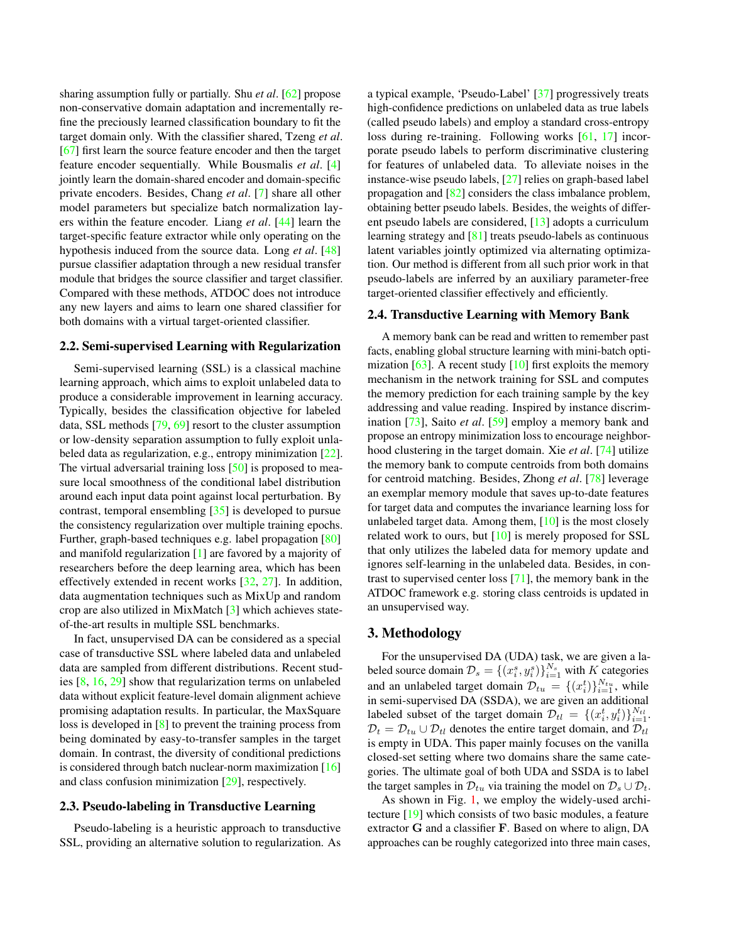<span id="page-2-0"></span>sharing assumption fully or partially. Shu *et al*. [\[62\]](#page-10-11) propose non-conservative domain adaptation and incrementally refine the preciously learned classification boundary to fit the target domain only. With the classifier shared, Tzeng *et al*. [\[67\]](#page-10-12) first learn the source feature encoder and then the target feature encoder sequentially. While Bousmalis *et al*. [\[4\]](#page-8-9) jointly learn the domain-shared encoder and domain-specific private encoders. Besides, Chang *et al*. [\[7\]](#page-8-10) share all other model parameters but specialize batch normalization layers within the feature encoder. Liang *et al*. [\[44\]](#page-9-14) learn the target-specific feature extractor while only operating on the hypothesis induced from the source data. Long *et al*. [\[48\]](#page-9-13) pursue classifier adaptation through a new residual transfer module that bridges the source classifier and target classifier. Compared with these methods, ATDOC does not introduce any new layers and aims to learn one shared classifier for both domains with a virtual target-oriented classifier.

### 2.2. Semi-supervised Learning with Regularization

Semi-supervised learning (SSL) is a classical machine learning approach, which aims to exploit unlabeled data to produce a considerable improvement in learning accuracy. Typically, besides the classification objective for labeled data, SSL methods [\[79,](#page-10-13) [69\]](#page-10-14) resort to the cluster assumption or low-density separation assumption to fully exploit unlabeled data as regularization, e.g., entropy minimization [\[22\]](#page-9-15). The virtual adversarial training loss [\[50\]](#page-9-16) is proposed to measure local smoothness of the conditional label distribution around each input data point against local perturbation. By contrast, temporal ensembling [\[35\]](#page-9-17) is developed to pursue the consistency regularization over multiple training epochs. Further, graph-based techniques e.g. label propagation [\[80\]](#page-10-15) and manifold regularization [\[1\]](#page-8-11) are favored by a majority of researchers before the deep learning area, which has been effectively extended in recent works [\[32,](#page-9-18) [27\]](#page-9-19). In addition, data augmentation techniques such as MixUp and random crop are also utilized in MixMatch [\[3\]](#page-8-5) which achieves stateof-the-art results in multiple SSL benchmarks.

In fact, unsupervised DA can be considered as a special case of transductive SSL where labeled data and unlabeled data are sampled from different distributions. Recent studies [\[8,](#page-8-3) [16,](#page-8-4) [29\]](#page-9-9) show that regularization terms on unlabeled data without explicit feature-level domain alignment achieve promising adaptation results. In particular, the MaxSquare loss is developed in [\[8\]](#page-8-3) to prevent the training process from being dominated by easy-to-transfer samples in the target domain. In contrast, the diversity of conditional predictions is considered through batch nuclear-norm maximization [\[16\]](#page-8-4) and class confusion minimization [\[29\]](#page-9-9), respectively.

#### 2.3. Pseudo-labeling in Transductive Learning

Pseudo-labeling is a heuristic approach to transductive SSL, providing an alternative solution to regularization. As

a typical example, 'Pseudo-Label' [\[37\]](#page-9-10) progressively treats high-confidence predictions on unlabeled data as true labels (called pseudo labels) and employ a standard cross-entropy loss during re-training. Following works [\[61,](#page-10-16) [17\]](#page-8-12) incorporate pseudo labels to perform discriminative clustering for features of unlabeled data. To alleviate noises in the instance-wise pseudo labels, [\[27\]](#page-9-19) relies on graph-based label propagation and [\[82\]](#page-10-17) considers the class imbalance problem, obtaining better pseudo labels. Besides, the weights of different pseudo labels are considered, [\[13\]](#page-8-13) adopts a curriculum learning strategy and [\[81\]](#page-10-18) treats pseudo-labels as continuous latent variables jointly optimized via alternating optimization. Our method is different from all such prior work in that pseudo-labels are inferred by an auxiliary parameter-free target-oriented classifier effectively and efficiently.

### 2.4. Transductive Learning with Memory Bank

A memory bank can be read and written to remember past facts, enabling global structure learning with mini-batch optimization  $[63]$ . A recent study  $[10]$  first exploits the memory mechanism in the network training for SSL and computes the memory prediction for each training sample by the key addressing and value reading. Inspired by instance discrimination [\[73\]](#page-10-20), Saito *et al*. [\[59\]](#page-10-21) employ a memory bank and propose an entropy minimization loss to encourage neighborhood clustering in the target domain. Xie *et al*. [\[74\]](#page-10-7) utilize the memory bank to compute centroids from both domains for centroid matching. Besides, Zhong *et al*. [\[78\]](#page-10-22) leverage an exemplar memory module that saves up-to-date features for target data and computes the invariance learning loss for unlabeled target data. Among them, [\[10\]](#page-8-14) is the most closely related work to ours, but [\[10\]](#page-8-14) is merely proposed for SSL that only utilizes the labeled data for memory update and ignores self-learning in the unlabeled data. Besides, in contrast to supervised center loss [\[71\]](#page-10-6), the memory bank in the ATDOC framework e.g. storing class centroids is updated in an unsupervised way.

### 3. Methodology

For the unsupervised DA (UDA) task, we are given a labeled source domain  $\mathcal{D}_s = \{(x_i^s, y_i^s)\}_{i=1}^{N_s}$  with K categories and an unlabeled target domain  $\mathcal{D}_{tu} = \{(x_i^t)\}_{i=1}^{N_{tu}}$ , while in semi-supervised DA (SSDA), we are given an additional labeled subset of the target domain  $\mathcal{D}_{tl} = \{(x_i^t, y_i^t)\}_{i=1}^{N_{tl}}$ .  $D_t = D_{tu} \cup D_{tl}$  denotes the entire target domain, and  $D_{tl}$ is empty in UDA. This paper mainly focuses on the vanilla closed-set setting where two domains share the same categories. The ultimate goal of both UDA and SSDA is to label the target samples in  $\mathcal{D}_{tu}$  via training the model on  $\mathcal{D}_s \cup \mathcal{D}_t$ .

As shown in Fig. [1,](#page-1-0) we employ the widely-used architecture [\[19\]](#page-8-8) which consists of two basic modules, a feature extractor G and a classifier F. Based on where to align, DA approaches can be roughly categorized into three main cases,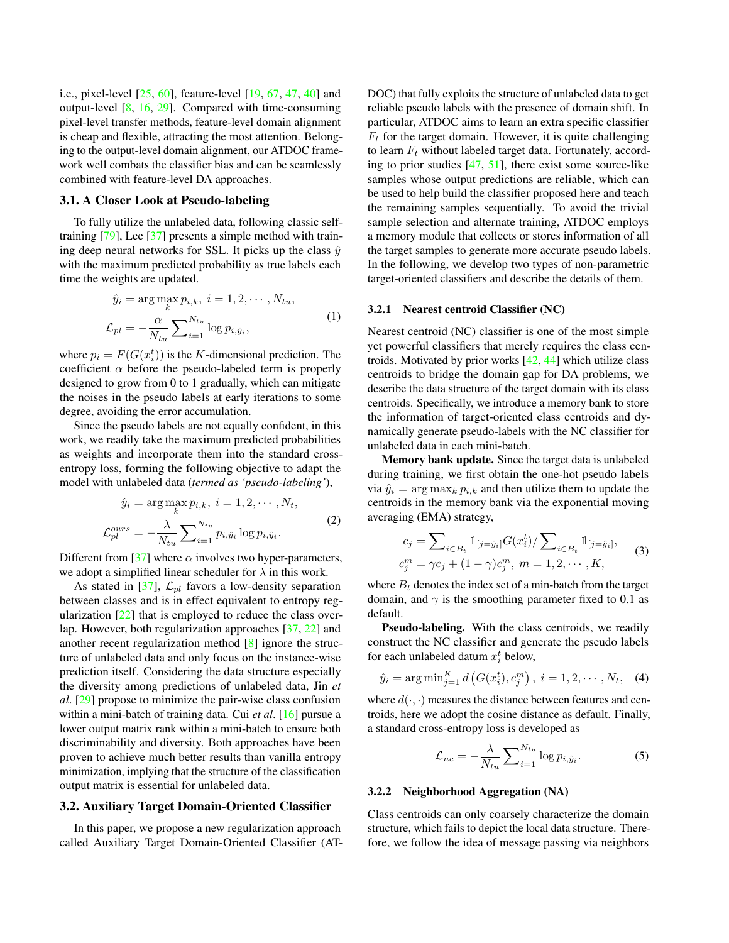<span id="page-3-0"></span>i.e., pixel-level [\[25,](#page-9-20) [60\]](#page-10-23), feature-level [\[19,](#page-8-8) [67,](#page-10-12) [47,](#page-9-6) [40\]](#page-9-21) and output-level [\[8,](#page-8-3) [16,](#page-8-4) [29\]](#page-9-9). Compared with time-consuming pixel-level transfer methods, feature-level domain alignment is cheap and flexible, attracting the most attention. Belonging to the output-level domain alignment, our ATDOC framework well combats the classifier bias and can be seamlessly combined with feature-level DA approaches.

#### 3.1. A Closer Look at Pseudo-labeling

To fully utilize the unlabeled data, following classic selftraining [\[79\]](#page-10-13), Lee [\[37\]](#page-9-10) presents a simple method with training deep neural networks for SSL. It picks up the class  $\hat{y}$ with the maximum predicted probability as true labels each time the weights are updated.

$$
\hat{y}_i = \arg \max_k p_{i,k}, \ i = 1, 2, \cdots, N_{tu},
$$

$$
\mathcal{L}_{pl} = -\frac{\alpha}{N_{tu}} \sum_{i=1}^{N_{tu}} \log p_{i,\hat{y}_i}, \tag{1}
$$

where  $p_i = F(G(x_i^t))$  is the K-dimensional prediction. The coefficient  $\alpha$  before the pseudo-labeled term is properly designed to grow from 0 to 1 gradually, which can mitigate the noises in the pseudo labels at early iterations to some degree, avoiding the error accumulation.

Since the pseudo labels are not equally confident, in this work, we readily take the maximum predicted probabilities as weights and incorporate them into the standard crossentropy loss, forming the following objective to adapt the model with unlabeled data (*termed as 'pseudo-labeling'*),

$$
\hat{y}_i = \arg \max_k p_{i,k}, \ i = 1, 2, \cdots, N_t,
$$

$$
\mathcal{L}_{pl}^{ours} = -\frac{\lambda}{N_{tu}} \sum_{i=1}^{N_{tu}} p_{i,\hat{y}_i} \log p_{i,\hat{y}_i}.
$$

$$
(2)
$$

Different from [\[37\]](#page-9-10) where  $\alpha$  involves two hyper-parameters, we adopt a simplified linear scheduler for  $\lambda$  in this work.

As stated in [\[37\]](#page-9-10),  $\mathcal{L}_{pl}$  favors a low-density separation between classes and is in effect equivalent to entropy regularization [\[22\]](#page-9-15) that is employed to reduce the class overlap. However, both regularization approaches [\[37,](#page-9-10) [22\]](#page-9-15) and another recent regularization method [\[8\]](#page-8-3) ignore the structure of unlabeled data and only focus on the instance-wise prediction itself. Considering the data structure especially the diversity among predictions of unlabeled data, Jin *et al*. [\[29\]](#page-9-9) propose to minimize the pair-wise class confusion within a mini-batch of training data. Cui *et al*. [\[16\]](#page-8-4) pursue a lower output matrix rank within a mini-batch to ensure both discriminability and diversity. Both approaches have been proven to achieve much better results than vanilla entropy minimization, implying that the structure of the classification output matrix is essential for unlabeled data.

#### 3.2. Auxiliary Target Domain-Oriented Classifier

In this paper, we propose a new regularization approach called Auxiliary Target Domain-Oriented Classifier (AT- DOC) that fully exploits the structure of unlabeled data to get reliable pseudo labels with the presence of domain shift. In particular, ATDOC aims to learn an extra specific classifier  $F_t$  for the target domain. However, it is quite challenging to learn  $F_t$  without labeled target data. Fortunately, according to prior studies [\[47,](#page-9-6) [51\]](#page-9-22), there exist some source-like samples whose output predictions are reliable, which can be used to help build the classifier proposed here and teach the remaining samples sequentially. To avoid the trivial sample selection and alternate training, ATDOC employs a memory module that collects or stores information of all the target samples to generate more accurate pseudo labels. In the following, we develop two types of non-parametric target-oriented classifiers and describe the details of them.

#### 3.2.1 Nearest centroid Classifier (NC)

Nearest centroid (NC) classifier is one of the most simple yet powerful classifiers that merely requires the class centroids. Motivated by prior works  $[42, 44]$  $[42, 44]$  $[42, 44]$  which utilize class centroids to bridge the domain gap for DA problems, we describe the data structure of the target domain with its class centroids. Specifically, we introduce a memory bank to store the information of target-oriented class centroids and dynamically generate pseudo-labels with the NC classifier for unlabeled data in each mini-batch.

Memory bank update. Since the target data is unlabeled during training, we first obtain the one-hot pseudo labels via  $\hat{y}_i = \arg \max_k p_{i,k}$  and then utilize them to update the centroids in the memory bank via the exponential moving averaging (EMA) strategy,

$$
c_j = \sum_{i \in B_t} 1_{[j = \hat{y}_i]} G(x_i^t) / \sum_{i \in B_t} 1_{[j = \hat{y}_i]},
$$
  

$$
c_j^m = \gamma c_j + (1 - \gamma) c_j^m, \ m = 1, 2, \cdots, K,
$$
 (3)

where  $B_t$  denotes the index set of a min-batch from the target domain, and  $\gamma$  is the smoothing parameter fixed to 0.1 as default.

Pseudo-labeling. With the class centroids, we readily construct the NC classifier and generate the pseudo labels for each unlabeled datum  $x_i^t$  below,

$$
\hat{y}_i = \arg \min_{j=1}^K d\left(G(x_i^t), c_j^m\right), i = 1, 2, \cdots, N_t, (4)
$$

where  $d(\cdot, \cdot)$  measures the distance between features and centroids, here we adopt the cosine distance as default. Finally, a standard cross-entropy loss is developed as

$$
\mathcal{L}_{nc} = -\frac{\lambda}{N_{tu}} \sum_{i=1}^{N_{tu}} \log p_{i, \hat{y}_i}.
$$
 (5)

#### 3.2.2 Neighborhood Aggregation (NA)

Class centroids can only coarsely characterize the domain structure, which fails to depict the local data structure. Therefore, we follow the idea of message passing via neighbors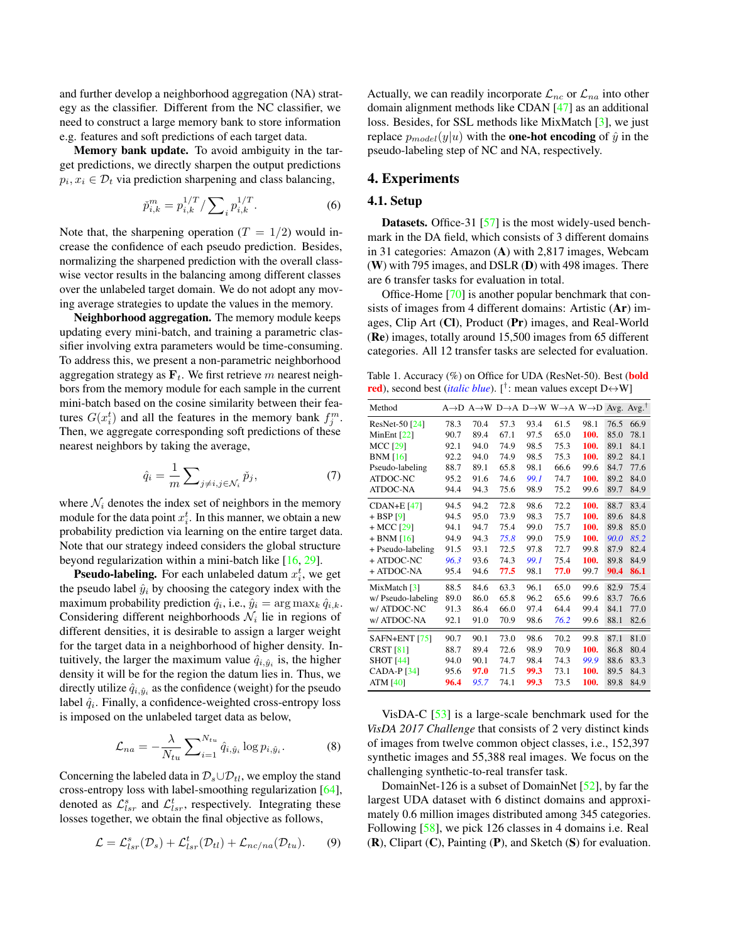<span id="page-4-2"></span>and further develop a neighborhood aggregation (NA) strategy as the classifier. Different from the NC classifier, we need to construct a large memory bank to store information e.g. features and soft predictions of each target data.

Memory bank update. To avoid ambiguity in the target predictions, we directly sharpen the output predictions  $p_i, x_i \in \mathcal{D}_t$  via prediction sharpening and class balancing,

<span id="page-4-1"></span>
$$
\tilde{p}_{i,k}^m = p_{i,k}^{1/T} / \sum_{i} p_{i,k}^{1/T}.
$$
 (6)

Note that, the sharpening operation  $(T = 1/2)$  would increase the confidence of each pseudo prediction. Besides, normalizing the sharpened prediction with the overall classwise vector results in the balancing among different classes over the unlabeled target domain. We do not adopt any moving average strategies to update the values in the memory.

Neighborhood aggregation. The memory module keeps updating every mini-batch, and training a parametric classifier involving extra parameters would be time-consuming. To address this, we present a non-parametric neighborhood aggregation strategy as  $\mathbf{F}_t$ . We first retrieve m nearest neighbors from the memory module for each sample in the current mini-batch based on the cosine similarity between their features  $G(x_i^t)$  and all the features in the memory bank  $f_j^m$ . Then, we aggregate corresponding soft predictions of these nearest neighbors by taking the average,

$$
\hat{q}_i = \frac{1}{m} \sum_{j \neq i, j \in \mathcal{N}_i} \check{p}_j,\tag{7}
$$

where  $\mathcal{N}_i$  denotes the index set of neighbors in the memory module for the data point  $x_i^t$ . In this manner, we obtain a new probability prediction via learning on the entire target data. Note that our strategy indeed considers the global structure beyond regularization within a mini-batch like [\[16,](#page-8-4) [29\]](#page-9-9).

**Pseudo-labeling.** For each unlabeled datum  $x_i^t$ , we get the pseudo label  $\hat{y}_i$  by choosing the category index with the maximum probability prediction  $\hat{q}_i$ , i.e.,  $\hat{y}_i = \arg \max_k \hat{q}_{i,k}$ . Considering different neighborhoods  $\mathcal{N}_i$  lie in regions of different densities, it is desirable to assign a larger weight for the target data in a neighborhood of higher density. Intuitively, the larger the maximum value  $\hat{q}_{i,\hat{y}_i}$  is, the higher density it will be for the region the datum lies in. Thus, we directly utilize  $\hat{q}_{i,\hat{y}_i}$  as the confidence (weight) for the pseudo label  $\hat{q}_i$ . Finally, a confidence-weighted cross-entropy loss is imposed on the unlabeled target data as below,

$$
\mathcal{L}_{na} = -\frac{\lambda}{N_{tu}} \sum_{i=1}^{N_{tu}} \hat{q}_{i,\hat{y}_i} \log p_{i,\hat{y}_i}.
$$
 (8)

Concerning the labeled data in  $\mathcal{D}_s \cup \mathcal{D}_{tl}$ , we employ the stand cross-entropy loss with label-smoothing regularization [\[64\]](#page-10-24), denoted as  $\mathcal{L}_{lsr}^s$  and  $\mathcal{L}_{lsr}^t$ , respectively. Integrating these losses together, we obtain the final objective as follows,

$$
\mathcal{L} = \mathcal{L}_{lsr}^s(\mathcal{D}_s) + \mathcal{L}_{lsr}^t(\mathcal{D}_{tl}) + \mathcal{L}_{nc/na}(\mathcal{D}_{tu}).
$$
 (9)

Actually, we can readily incorporate  $\mathcal{L}_{nc}$  or  $\mathcal{L}_{na}$  into other domain alignment methods like CDAN [\[47\]](#page-9-6) as an additional loss. Besides, for SSL methods like MixMatch [\[3\]](#page-8-5), we just replace  $p_{model}(y|u)$  with the **one-hot encoding** of  $\hat{y}$  in the pseudo-labeling step of NC and NA, respectively.

### 4. Experiments

### 4.1. Setup

Datasets. Office-31 [\[57\]](#page-10-25) is the most widely-used benchmark in the DA field, which consists of 3 different domains in 31 categories: Amazon (A) with 2,817 images, Webcam (W) with 795 images, and DSLR (D) with 498 images. There are 6 transfer tasks for evaluation in total.

Office-Home [\[70\]](#page-10-26) is another popular benchmark that consists of images from 4 different domains: Artistic (Ar) images, Clip Art (Cl), Product (Pr) images, and Real-World (Re) images, totally around 15,500 images from 65 different categories. All 12 transfer tasks are selected for evaluation.

<span id="page-4-0"></span>Table 1. Accuracy (%) on Office for UDA (ResNet-50). Best (**bold red**), second best (*italic blue*). [<sup>†</sup>: mean values except D↔W]

| Method             |      |      |      | $A \rightarrow D$ $A \rightarrow W$ $D \rightarrow A$ $D \rightarrow W$ $W \rightarrow A$ $W \rightarrow D$ $Avg$ . Avg. <sup>†</sup> |      |      |      |      |
|--------------------|------|------|------|---------------------------------------------------------------------------------------------------------------------------------------|------|------|------|------|
| ResNet-50 [24]     | 78.3 | 70.4 | 57.3 | 93.4                                                                                                                                  | 61.5 | 98.1 | 76.5 | 66.9 |
| MinEnt $[22]$      | 90.7 | 89.4 | 67.1 | 97.5                                                                                                                                  | 65.0 | 100. | 85.0 | 78.1 |
| <b>MCC [29]</b>    | 92.1 | 94.0 | 74.9 | 98.5                                                                                                                                  | 75.3 | 100. | 89.1 | 84.1 |
| <b>BNM</b> [16]    | 92.2 | 94.0 | 74.9 | 98.5                                                                                                                                  | 75.3 | 100. | 89.2 | 84.1 |
| Pseudo-labeling    | 88.7 | 89.1 | 65.8 | 98.1                                                                                                                                  | 66.6 | 99.6 | 84.7 | 77.6 |
| ATDOC-NC           | 95.2 | 91.6 | 74.6 | 99.1                                                                                                                                  | 74.7 | 100. | 89.2 | 84.0 |
| <b>ATDOC-NA</b>    | 94.4 | 94.3 | 75.6 | 98.9                                                                                                                                  | 75.2 | 99.6 | 89.7 | 84.9 |
| $CDAN+E$ [47]      | 94.5 | 94.2 | 72.8 | 98.6                                                                                                                                  | 72.2 | 100. | 88.7 | 83.4 |
| $+$ BSP [9]        | 94.5 | 95.0 | 73.9 | 98.3                                                                                                                                  | 75.7 | 100. | 89.6 | 84.8 |
| $+ MCC$ [29]       | 94.1 | 94.7 | 75.4 | 99.0                                                                                                                                  | 75.7 | 100. | 89.8 | 85.0 |
| $+$ BNM [16]       | 94.9 | 94.3 | 75.8 | 99.0                                                                                                                                  | 75.9 | 100. | 90.0 | 85.2 |
| + Pseudo-labeling  | 91.5 | 93.1 | 72.5 | 97.8                                                                                                                                  | 72.7 | 99.8 | 87.9 | 82.4 |
| $+ ATDOC-NC$       | 96.3 | 93.6 | 74.3 | 99.1                                                                                                                                  | 75.4 | 100. | 89.8 | 84.9 |
| $+ ATDOC-NA$       | 95.4 | 94.6 | 77.5 | 98.1                                                                                                                                  | 77.0 | 99.7 | 90.4 | 86.1 |
| MixMatch $[3]$     | 88.5 | 84.6 | 63.3 | 96.1                                                                                                                                  | 65.0 | 99.6 | 82.9 | 75.4 |
| w/ Pseudo-labeling | 89.0 | 86.0 | 65.8 | 96.2                                                                                                                                  | 65.6 | 99.6 | 83.7 | 76.6 |
| w/ATDOC-NC         | 91.3 | 86.4 | 66.0 | 97.4                                                                                                                                  | 64.4 | 99.4 | 84.1 | 77.0 |
| w/ATDOC-NA         | 92.1 | 91.0 | 70.9 | 98.6                                                                                                                                  | 76.2 | 99.6 | 88.1 | 82.6 |
| SAFN+ENT $[75]$    | 90.7 | 90.1 | 73.0 | 98.6                                                                                                                                  | 70.2 | 99.8 | 87.1 | 81.0 |
| <b>CRST [81]</b>   | 88.7 | 89.4 | 72.6 | 98.9                                                                                                                                  | 70.9 | 100. | 86.8 | 80.4 |
| <b>SHOT</b> [44]   | 94.0 | 90.1 | 74.7 | 98.4                                                                                                                                  | 74.3 | 99.9 | 88.6 | 83.3 |
| <b>CADA-P [34]</b> | 95.6 | 97.0 | 71.5 | 99.3                                                                                                                                  | 73.1 | 100. | 89.5 | 84.3 |
| ATM $[40]$         | 96.4 | 95.7 | 74.1 | 99.3                                                                                                                                  | 73.5 | 100. | 89.8 | 84.9 |
|                    |      |      |      |                                                                                                                                       |      |      |      |      |

VisDA-C [\[53\]](#page-10-0) is a large-scale benchmark used for the *VisDA 2017 Challenge* that consists of 2 very distinct kinds of images from twelve common object classes, i.e., 152,397 synthetic images and 55,388 real images. We focus on the challenging synthetic-to-real transfer task.

DomainNet-126 is a subset of DomainNet [\[52\]](#page-10-28), by far the largest UDA dataset with 6 distinct domains and approximately 0.6 million images distributed among 345 categories. Following [\[58\]](#page-10-4), we pick 126 classes in 4 domains i.e. Real  $(R)$ , Clipart  $(C)$ , Painting  $(P)$ , and Sketch  $(S)$  for evaluation.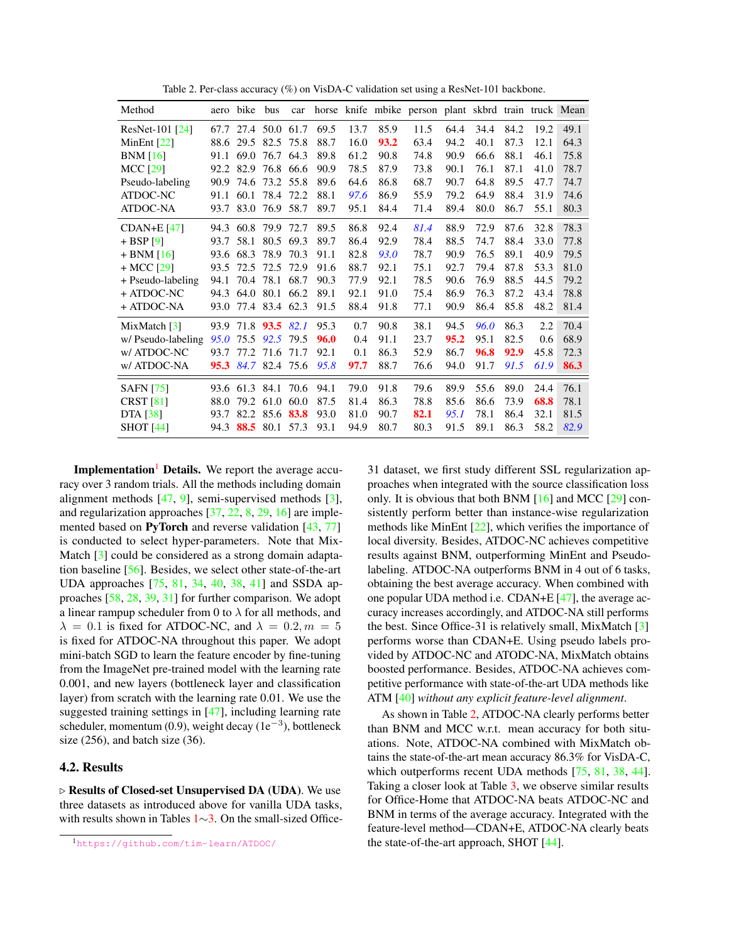<span id="page-5-2"></span>

| Method                     | aero | bike                | bus            | car       |      |      |      | horse knife mbike person plant skbrd train truck Mean |      |      |      |      |      |
|----------------------------|------|---------------------|----------------|-----------|------|------|------|-------------------------------------------------------|------|------|------|------|------|
| ResNet-101 [24]            |      | 67.7 27.4 50.0 61.7 |                |           | 69.5 | 13.7 | 85.9 | 11.5                                                  | 64.4 | 34.4 | 84.2 | 19.2 | 49.1 |
| MinEnt $[22]$              | 88.6 | 29.5                | 82.5 75.8      |           | 88.7 | 16.0 | 93.2 | 63.4                                                  | 94.2 | 40.1 | 87.3 | 12.1 | 64.3 |
| BNM[16]                    | 91.1 | 69.0                |                | 76.7 64.3 | 89.8 | 61.2 | 90.8 | 74.8                                                  | 90.9 | 66.6 | 88.1 | 46.1 | 75.8 |
| <b>MCC</b> [29]            | 92.2 | 82.9                | 76.8 66.6      |           | 90.9 | 78.5 | 87.9 | 73.8                                                  | 90.1 | 76.1 | 87.1 | 41.0 | 78.7 |
| Pseudo-labeling            | 90.9 | 74.6                | 73.2           | 55.8      | 89.6 | 64.6 | 86.8 | 68.7                                                  | 90.7 | 64.8 | 89.5 | 47.7 | 74.7 |
| ATDOC-NC                   | 91.1 | 60.1                | 78.4           | 72.2      | 88.1 | 97.6 | 86.9 | 55.9                                                  | 79.2 | 64.9 | 88.4 | 31.9 | 74.6 |
| <b>ATDOC-NA</b>            | 93.7 | 83.0                | 76.9           | 58.7      | 89.7 | 95.1 | 84.4 | 71.4                                                  | 89.4 | 80.0 | 86.7 | 55.1 | 80.3 |
| $CDAN+E$ [47]              | 94.3 | 60.8                | 79.9 72.7      |           | 89.5 | 86.8 | 92.4 | 81.4                                                  | 88.9 | 72.9 | 87.6 | 32.8 | 78.3 |
| $+$ BSP [9]                | 93.7 | 58.1                | 80.5           | 69.3      | 89.7 | 86.4 | 92.9 | 78.4                                                  | 88.5 | 74.7 | 88.4 | 33.0 | 77.8 |
| $+$ BNM [16]               | 93.6 | 68.3                | 78.9           | 70.3      | 91.1 | 82.8 | 93.0 | 78.7                                                  | 90.9 | 76.5 | 89.1 | 40.9 | 79.5 |
| $+$ MCC [29]               | 93.5 | 72.5                | 72.5           | 72.9      | 91.6 | 88.7 | 92.1 | 75.1                                                  | 92.7 | 79.4 | 87.8 | 53.3 | 81.0 |
| + Pseudo-labeling          | 94.1 | 70.4                | 78.1           | 68.7      | 90.3 | 77.9 | 92.1 | 78.5                                                  | 90.6 | 76.9 | 88.5 | 44.5 | 79.2 |
| $+ ATDOC-NC$               | 94.3 | 64.0                | 80.1           | 66.2      | 89.1 | 92.1 | 91.0 | 75.4                                                  | 86.9 | 76.3 | 87.2 | 43.4 | 78.8 |
| + ATDOC-NA                 | 93.0 | 77.4                | 83.4 62.3      |           | 91.5 | 88.4 | 91.8 | 77.1                                                  | 90.9 | 86.4 | 85.8 | 48.2 | 81.4 |
| MixMatch $\lceil 3 \rceil$ |      | 93.9 71.8 93.5 82.1 |                |           | 95.3 | 0.7  | 90.8 | 38.1                                                  | 94.5 | 96.0 | 86.3 | 2.2  | 70.4 |
| w/Pseudo-labeling          | 95.0 |                     | 75.5 92.5      | 79.5      | 96.0 | 0.4  | 91.1 | 23.7                                                  | 95.2 | 95.1 | 82.5 | 0.6  | 68.9 |
| w/ATDOC-NC                 | 93.7 | 77.2                | 71.6           | 71.7      | 92.1 | 0.1  | 86.3 | 52.9                                                  | 86.7 | 96.8 | 92.9 | 45.8 | 72.3 |
| w/ATDOC-NA                 | 95.3 |                     | 84.7 82.4 75.6 |           | 95.8 | 97.7 | 88.7 | 76.6                                                  | 94.0 | 91.7 | 91.5 | 61.9 | 86.3 |
| <b>SAFN</b> [75]           | 93.6 | 61.3                | 84.1           | 70.6      | 94.1 | 79.0 | 91.8 | 79.6                                                  | 89.9 | 55.6 | 89.0 | 24.4 | 76.1 |
| <b>CRST</b> [81]           | 88.0 | 79.2                | 61.0           | 60.0      | 87.5 | 81.4 | 86.3 | 78.8                                                  | 85.6 | 86.6 | 73.9 | 68.8 | 78.1 |
| <b>DTA</b> [38]            | 93.7 | 82.2                | 85.6 83.8      |           | 93.0 | 81.0 | 90.7 | 82.1                                                  | 95.1 | 78.1 | 86.4 | 32.1 | 81.5 |
| <b>SHOT</b> [44]           | 94.3 | 88.5                | 80.1           | 57.3      | 93.1 | 94.9 | 80.7 | 80.3                                                  | 91.5 | 89.1 | 86.3 | 58.2 | 82.9 |

<span id="page-5-1"></span>Table 2. Per-class accuracy (%) on VisDA-C validation set using a ResNet-101 backbone.

Implementation<sup>[1](#page-5-0)</sup> Details. We report the average accuracy over 3 random trials. All the methods including domain alignment methods [\[47,](#page-9-6) [9\]](#page-8-15), semi-supervised methods [\[3\]](#page-8-5), and regularization approaches [\[37,](#page-9-10) [22,](#page-9-15) [8,](#page-8-3) [29,](#page-9-9) [16\]](#page-8-4) are implemented based on **PyTorch** and reverse validation [\[43,](#page-9-27) [77\]](#page-10-29) is conducted to select hyper-parameters. Note that Mix-Match [\[3\]](#page-8-5) could be considered as a strong domain adaptation baseline [\[56\]](#page-10-5). Besides, we select other state-of-the-art UDA approaches [\[75,](#page-10-27) [81,](#page-10-18) [34,](#page-9-25) [40,](#page-9-21) [38,](#page-9-26) [41\]](#page-9-28) and SSDA approaches [\[58,](#page-10-4) [28,](#page-9-3) [39,](#page-9-4) [31\]](#page-9-29) for further comparison. We adopt a linear rampup scheduler from 0 to  $\lambda$  for all methods, and  $\lambda = 0.1$  is fixed for ATDOC-NC, and  $\lambda = 0.2, m = 5$ is fixed for ATDOC-NA throughout this paper. We adopt mini-batch SGD to learn the feature encoder by fine-tuning from the ImageNet pre-trained model with the learning rate 0.001, and new layers (bottleneck layer and classification layer) from scratch with the learning rate 0.01. We use the suggested training settings in [\[47\]](#page-9-6), including learning rate scheduler, momentum (0.9), weight decay (1e<sup>-3</sup>), bottleneck size (256), and batch size (36).

### 4.2. Results

 $\triangleright$  Results of Closed-set Unsupervised DA (UDA). We use three datasets as introduced above for vanilla UDA tasks, with results shown in Tables [1](#page-4-0)∼[3.](#page-6-0) On the small-sized Office31 dataset, we first study different SSL regularization approaches when integrated with the source classification loss only. It is obvious that both BNM  $[16]$  and MCC  $[29]$  consistently perform better than instance-wise regularization methods like MinEnt [\[22\]](#page-9-15), which verifies the importance of local diversity. Besides, ATDOC-NC achieves competitive results against BNM, outperforming MinEnt and Pseudolabeling. ATDOC-NA outperforms BNM in 4 out of 6 tasks, obtaining the best average accuracy. When combined with one popular UDA method i.e. CDAN+E [\[47\]](#page-9-6), the average accuracy increases accordingly, and ATDOC-NA still performs the best. Since Office-31 is relatively small, MixMatch [\[3\]](#page-8-5) performs worse than CDAN+E. Using pseudo labels provided by ATDOC-NC and ATODC-NA, MixMatch obtains boosted performance. Besides, ATDOC-NA achieves competitive performance with state-of-the-art UDA methods like ATM [\[40\]](#page-9-21) *without any explicit feature-level alignment*.

As shown in Table [2,](#page-5-1) ATDOC-NA clearly performs better than BNM and MCC w.r.t. mean accuracy for both situations. Note, ATDOC-NA combined with MixMatch obtains the state-of-the-art mean accuracy 86.3% for VisDA-C, which outperforms recent UDA methods [\[75,](#page-10-27) [81,](#page-10-18) [38,](#page-9-26) [44\]](#page-9-14). Taking a closer look at Table [3,](#page-6-0) we observe similar results for Office-Home that ATDOC-NA beats ATDOC-NC and BNM in terms of the average accuracy. Integrated with the feature-level method—CDAN+E, ATDOC-NA clearly beats the state-of-the-art approach, SHOT [\[44\]](#page-9-14).

<span id="page-5-0"></span><sup>1</sup><https://github.com/tim-learn/ATDOC/>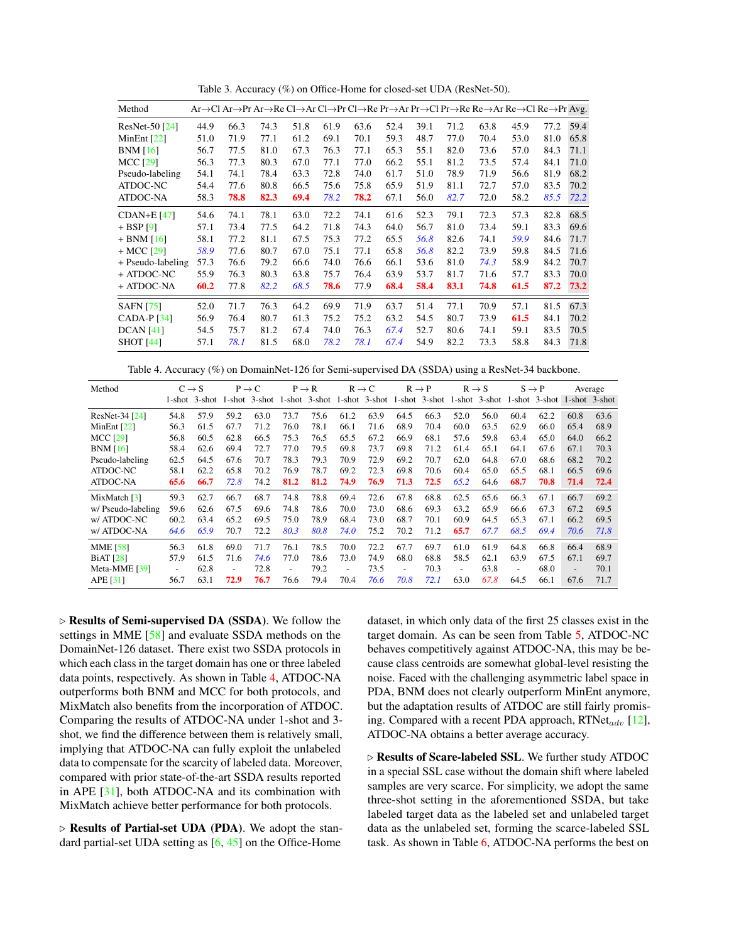<span id="page-6-0"></span>Table 3. Accuracy (%) on Office-Home for closed-set UDA (ResNet-50).

<span id="page-6-2"></span>

| Method            |      |      |      | Ar→Cl Ar→Pr Ar→Re Cl→Ar Cl→Pr Cl→Re Pr→Ar Pr→Cl Pr→Re Re→Ar Re→Cl Re→Pr Avg. |      |      |      |      |      |      |      |      |      |
|-------------------|------|------|------|------------------------------------------------------------------------------|------|------|------|------|------|------|------|------|------|
| ResNet-50 [24]    | 44.9 | 66.3 | 74.3 | 51.8                                                                         | 61.9 | 63.6 | 52.4 | 39.1 | 71.2 | 63.8 | 45.9 | 77.2 | 59.4 |
| MinEnt $[22]$     | 51.0 | 71.9 | 77.1 | 61.2                                                                         | 69.1 | 70.1 | 59.3 | 48.7 | 77.0 | 70.4 | 53.0 | 81.0 | 65.8 |
| BNM[16]           | 56.7 | 77.5 | 81.0 | 67.3                                                                         | 76.3 | 77.1 | 65.3 | 55.1 | 82.0 | 73.6 | 57.0 | 84.3 | 71.1 |
| <b>MCC</b> [29]   | 56.3 | 77.3 | 80.3 | 67.0                                                                         | 77.1 | 77.0 | 66.2 | 55.1 | 81.2 | 73.5 | 57.4 | 84.1 | 71.0 |
| Pseudo-labeling   | 54.1 | 74.1 | 78.4 | 63.3                                                                         | 72.8 | 74.0 | 61.7 | 51.0 | 78.9 | 71.9 | 56.6 | 81.9 | 68.2 |
| ATDOC-NC          | 54.4 | 77.6 | 80.8 | 66.5                                                                         | 75.6 | 75.8 | 65.9 | 51.9 | 81.1 | 72.7 | 57.0 | 83.5 | 70.2 |
| ATDOC-NA          | 58.3 | 78.8 | 82.3 | 69.4                                                                         | 78.2 | 78.2 | 67.1 | 56.0 | 82.7 | 72.0 | 58.2 | 85.5 | 72.2 |
| $CDAN+E$ [47]     | 54.6 | 74.1 | 78.1 | 63.0                                                                         | 72.2 | 74.1 | 61.6 | 52.3 | 79.1 | 72.3 | 57.3 | 82.8 | 68.5 |
| $+$ BSP [9]       | 57.1 | 73.4 | 77.5 | 64.2                                                                         | 71.8 | 74.3 | 64.0 | 56.7 | 81.0 | 73.4 | 59.1 | 83.3 | 69.6 |
| $+$ BNM [16]      | 58.1 | 77.2 | 81.1 | 67.5                                                                         | 75.3 | 77.2 | 65.5 | 56.8 | 82.6 | 74.1 | 59.9 | 84.6 | 71.7 |
| $+$ MCC [29]      | 58.9 | 77.6 | 80.7 | 67.0                                                                         | 75.1 | 77.1 | 65.8 | 56.8 | 82.2 | 73.9 | 59.8 | 84.5 | 71.6 |
| + Pseudo-labeling | 57.3 | 76.6 | 79.2 | 66.6                                                                         | 74.0 | 76.6 | 66.1 | 53.6 | 81.0 | 74.3 | 58.9 | 84.2 | 70.7 |
| + ATDOC-NC        | 55.9 | 76.3 | 80.3 | 63.8                                                                         | 75.7 | 76.4 | 63.9 | 53.7 | 81.7 | 71.6 | 57.7 | 83.3 | 70.0 |
| + ATDOC-NA        | 60.2 | 77.8 | 82.2 | 68.5                                                                         | 78.6 | 77.9 | 68.4 | 58.4 | 83.1 | 74.8 | 61.5 | 87.2 | 73.2 |
| <b>SAFN</b> [75]  | 52.0 | 71.7 | 76.3 | 64.2                                                                         | 69.9 | 71.9 | 63.7 | 51.4 | 77.1 | 70.9 | 57.1 | 81.5 | 67.3 |
| CADA-P $[34]$     | 56.9 | 76.4 | 80.7 | 61.3                                                                         | 75.2 | 75.2 | 63.2 | 54.5 | 80.7 | 73.9 | 61.5 | 84.1 | 70.2 |
| DCAN [41]         | 54.5 | 75.7 | 81.2 | 67.4                                                                         | 74.0 | 76.3 | 67.4 | 52.7 | 80.6 | 74.1 | 59.1 | 83.5 | 70.5 |
| <b>SHOT</b> [44]  | 57.1 | 78.1 | 81.5 | 68.0                                                                         | 78.2 | 78.1 | 67.4 | 54.9 | 82.2 | 73.3 | 58.8 | 84.3 | 71.8 |

<span id="page-6-1"></span>Table 4. Accuracy (%) on DomainNet-126 for Semi-supervised DA (SSDA) using a ResNet-34 backbone.

| Method                     |      | $C \rightarrow S$ |                          | $P \rightarrow C$ |                          | $P \rightarrow R$                                                                                 |                              | $R \rightarrow C$ |                   | $R \rightarrow P$ |                          | $R \rightarrow S$ |                          | $S \rightarrow P$ |                          | Average |
|----------------------------|------|-------------------|--------------------------|-------------------|--------------------------|---------------------------------------------------------------------------------------------------|------------------------------|-------------------|-------------------|-------------------|--------------------------|-------------------|--------------------------|-------------------|--------------------------|---------|
|                            |      | 1-shot 3-shot     |                          |                   |                          | 1-shot 3-shot 1-shot 3-shot 1-shot 3-shot 1-shot 3-shot 1-shot 3-shot 1-shot 3-shot 1-shot 3-shot |                              |                   |                   |                   |                          |                   |                          |                   |                          |         |
| ResNet-34 [24]             | 54.8 | 57.9              | 59.2                     | 63.0              | 73.7                     | 75.6                                                                                              | 61.2                         | 63.9              | 64.5              | 66.3              | 52.0                     | 56.0              | 60.4                     | 62.2              | 60.8                     | 63.6    |
| MinEnt $[22]$              | 56.3 | 61.5              | 67.7                     | 71.2              | 76.0                     | 78.1                                                                                              | 66.1                         | 71.6              | 68.9              | 70.4              | 60.0                     | 63.5              | 62.9                     | 66.0              | 65.4                     | 68.9    |
| <b>MCC</b> [29]            | 56.8 | 60.5              | 62.8                     | 66.5              | 75.3                     | 76.5                                                                                              | 65.5                         | 67.2              | 66.9              | 68.1              | 57.6                     | 59.8              | 63.4                     | 65.0              | 64.0                     | 66.2    |
| BNM[16]                    | 58.4 | 62.6              | 69.4                     | 72.7              | 77.0                     | 79.5                                                                                              | 69.8                         | 73.7              | 69.8              | 71.2              | 61.4                     | 65.1              | 64.1                     | 67.6              | 67.1                     | 70.3    |
| Pseudo-labeling            | 62.5 | 64.5              | 67.6                     | 70.7              | 78.3                     | 79.3                                                                                              | 70.9                         | 72.9              | 69.2              | 70.7              | 62.0                     | 64.8              | 67.0                     | 68.6              | 68.2                     | 70.2    |
| ATDOC-NC                   | 58.1 | 62.2              | 65.8                     | 70.2              | 76.9                     | 78.7                                                                                              | 69.2                         | 72.3              | 69.8              | 70.6              | 60.4                     | 65.0              | 65.5                     | 68.1              | 66.5                     | 69.6    |
| ATDOC-NA                   | 65.6 | 66.7              | 72.8                     | 74.2              | 81.2                     | 81.2                                                                                              | 74.9                         | 76.9              | 71.3              | 72.5              | 65.2                     | 64.6              | 68.7                     | 70.8              | 71.4                     | 72.4    |
| MixMatch $\lceil 3 \rceil$ | 59.3 | 62.7              | 66.7                     | 68.7              | 74.8                     | 78.8                                                                                              | 69.4                         | 72.6              | 67.8              | 68.8              | 62.5                     | 65.6              | 66.3                     | 67.1              | 66.7                     | 69.2    |
| w/ Pseudo-labeling         | 59.6 | 62.6              | 67.5                     | 69.6              | 74.8                     | 78.6                                                                                              | 70.0                         | 73.0              | 68.6              | 69.3              | 63.2                     | 65.9              | 66.6                     | 67.3              | 67.2                     | 69.5    |
| w/ ATDOC-NC                | 60.2 | 63.4              | 65.2                     | 69.5              | 75.0                     | 78.9                                                                                              | 68.4                         | 73.0              | 68.7              | 70.1              | 60.9                     | 64.5              | 65.3                     | 67.1              | 66.2                     | 69.5    |
| w/ ATDOC-NA                | 64.6 | 65.9              | 70.7                     | 72.2              | 80.3                     | 80.8                                                                                              | 74.0                         | 75.2              | 70.2              | 71.2              | 65.7                     | 67.7              | 68.5                     | 69.4              | 70.6                     | 71.8    |
| <b>MME</b> [58]            | 56.3 | 61.8              | 69.0                     | 71.7              | 76.1                     | 78.5                                                                                              | 70.0                         | 72.2              | 67.7              | 69.7              | 61.0                     | 61.9              | 64.8                     | 66.8              | 66.4                     | 68.9    |
| <b>BiAT</b> [28]           | 57.9 | 61.5              | 71.6                     | 74.6              | 77.0                     | 78.6                                                                                              | 73.0                         | 74.9              | 68.0              | 68.8              | 58.5                     | 62.1              | 63.9                     | 67.5              | 67.1                     | 69.7    |
| Meta-MME $[39]$            |      | 62.8              | $\overline{\phantom{a}}$ | 72.8              | $\overline{\phantom{0}}$ | 79.2                                                                                              | $\qquad \qquad \blacksquare$ | 73.5              | $\qquad \qquad -$ | 70.3              | $\overline{\phantom{a}}$ | 63.8              | $\overline{\phantom{a}}$ | 68.0              | $\overline{\phantom{a}}$ | 70.1    |
| APE [31]                   | 56.7 | 63.1              | 72.9                     | 76.7              | 76.6                     | 79.4                                                                                              | 70.4                         | 76.6              | 70.8              | 72.1              | 63.0                     | 67.8              | 64.5                     | 66.1              | 67.6                     | 71.7    |

 $\triangleright$  Results of Semi-supervised DA (SSDA). We follow the settings in MME [\[58\]](#page-10-4) and evaluate SSDA methods on the DomainNet-126 dataset. There exist two SSDA protocols in which each class in the target domain has one or three labeled data points, respectively. As shown in Table [4,](#page-6-1) ATDOC-NA outperforms both BNM and MCC for both protocols, and MixMatch also benefits from the incorporation of ATDOC. Comparing the results of ATDOC-NA under 1-shot and 3 shot, we find the difference between them is relatively small, implying that ATDOC-NA can fully exploit the unlabeled data to compensate for the scarcity of labeled data. Moreover, compared with prior state-of-the-art SSDA results reported in APE [\[31\]](#page-9-29), both ATDOC-NA and its combination with MixMatch achieve better performance for both protocols.

 $\triangleright$  Results of Partial-set UDA (PDA). We adopt the standard partial-set UDA setting as [\[6,](#page-8-16) [45\]](#page-9-30) on the Office-Home dataset, in which only data of the first 25 classes exist in the target domain. As can be seen from Table [5,](#page-7-0) ATDOC-NC behaves competitively against ATDOC-NA, this may be because class centroids are somewhat global-level resisting the noise. Faced with the challenging asymmetric label space in PDA, BNM does not clearly outperform MinEnt anymore, but the adaptation results of ATDOC are still fairly promising. Compared with a recent PDA approach,  $RTNet_{adv}$  [\[12\]](#page-8-17), ATDOC-NA obtains a better average accuracy.

 $\triangleright$  Results of Scare-labeled SSL. We further study ATDOC in a special SSL case without the domain shift where labeled samples are very scarce. For simplicity, we adopt the same three-shot setting in the aforementioned SSDA, but take labeled target data as the labeled set and unlabeled target data as the unlabeled set, forming the scarce-labeled SSL task. As shown in Table [6,](#page-7-1) ATDOC-NA performs the best on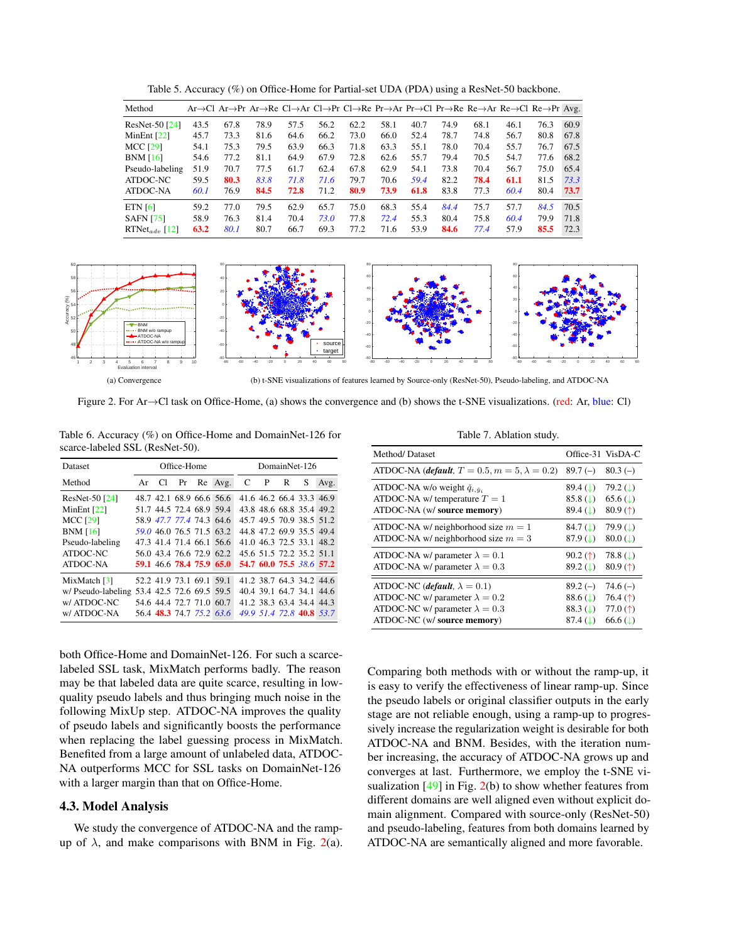<span id="page-7-4"></span>

| Method                    |      |      | Ar→Cl Ar→Pr Ar→Re Cl→Ar Cl→Pr Cl→Re Pr→Ar Pr→Cl Pr→Re Re→Ar Re→Cl Re→Pr Avg. |      |      |      |      |      |      |      |      |      |      |
|---------------------------|------|------|------------------------------------------------------------------------------|------|------|------|------|------|------|------|------|------|------|
| $ResNet-50$ [24]          | 43.5 | 67.8 | 78.9                                                                         | 57.5 | 56.2 | 62.2 | 58.1 | 40.7 | 74.9 | 68.1 | 46.1 | 76.3 | 60.9 |
| MinEnt $[22]$             | 45.7 | 73.3 | 81.6                                                                         | 64.6 | 66.2 | 73.0 | 66.0 | 52.4 | 78.7 | 74.8 | 56.7 | 80.8 | 67.8 |
| <b>MCC [29]</b>           | 54.1 | 75.3 | 79.5                                                                         | 63.9 | 66.3 | 71.8 | 63.3 | 55.1 | 78.0 | 70.4 | 55.7 | 76.7 | 67.5 |
| BNM[16]                   | 54.6 | 77.2 | 81.1                                                                         | 64.9 | 67.9 | 72.8 | 62.6 | 55.7 | 79.4 | 70.5 | 54.7 | 77.6 | 68.2 |
| Pseudo-labeling           | 51.9 | 70.7 | 77.5                                                                         | 61.7 | 62.4 | 67.8 | 62.9 | 54.1 | 73.8 | 70.4 | 56.7 | 75.0 | 65.4 |
| ATDOC-NC                  | 59.5 | 80.3 | 83.8                                                                         | 71.8 | 71.6 | 79.7 | 70.6 | 59.4 | 82.2 | 78.4 | 61.1 | 81.5 | 73.3 |
| ATDOC-NA                  | 60.1 | 76.9 | 84.5                                                                         | 72.8 | 71.2 | 80.9 | 73.9 | 61.8 | 83.8 | 77.3 | 60.4 | 80.4 | 73.7 |
| ETN <sub>161</sub>        | 59.2 | 77.0 | 79.5                                                                         | 62.9 | 65.7 | 75.0 | 68.3 | 55.4 | 84.4 | 75.7 | 57.7 | 84.5 | 70.5 |
| <b>SAFN</b> [75]          | 58.9 | 76.3 | 81.4                                                                         | 70.4 | 73.0 | 77.8 | 72.4 | 55.3 | 80.4 | 75.8 | 60.4 | 79.9 | 71.8 |
| RTNet <sub>ady</sub> [12] | 63.2 | 80.1 | 80.7                                                                         | 66.7 | 69.3 | 77.2 | 71.6 | 53.9 | 84.6 | 77.4 | 57.9 | 85.5 | 72.3 |

<span id="page-7-0"></span>Table 5. Accuracy (%) on Office-Home for Partial-set UDA (PDA) using a ResNet-50 backbone.



<span id="page-7-1"></span>Figure 2. For Ar→Cl task on Office-Home, (a) shows the convergence and (b) shows the t-SNE visualizations. (red: Ar, blue: Cl)

<span id="page-7-2"></span>

Table 6. Accuracy (%) on Office-Home and DomainNet-126 for scarce-labeled SSL (ResNet-50).

| Dataset                    |    |    | Office-Home |                          |                          | DomainNet-126 |              |   |                          |      |  |  |
|----------------------------|----|----|-------------|--------------------------|--------------------------|---------------|--------------|---|--------------------------|------|--|--|
| Method                     | Ar | Cl | Pr          |                          | Re Avg.                  | C             | $\mathbf{P}$ | R | S                        | Avg. |  |  |
| ResNet-50 [24]             |    |    |             | 48.7 42.1 68.9 66.6 56.6 |                          |               |              |   | 41.6 46.2 66.4 33.3 46.9 |      |  |  |
| MinEnt $[22]$              |    |    |             | 51.7 44.5 72.4 68.9 59.4 |                          |               |              |   | 43.8 48.6 68.8 35.4 49.2 |      |  |  |
| <b>MCC [29]</b>            |    |    |             | 58.9 47.7 77.4 74.3 64.6 |                          |               |              |   | 45.7 49.5 70.9 38.5 51.2 |      |  |  |
| <b>BNM</b> [16]            |    |    |             | 59.0 46.0 76.5 71.5 63.2 |                          |               |              |   | 44.8 47.2 69.9 35.5 49.4 |      |  |  |
| Pseudo-labeling            |    |    |             | 47.3 41.4 71.4 66.1 56.6 |                          |               |              |   | 41.0 46.3 72.5 33.1 48.2 |      |  |  |
| ATDOC-NC                   |    |    |             | 56.0 43.4 76.6 72.9 62.2 |                          |               |              |   | 45.6 51.5 72.2 35.2 51.1 |      |  |  |
| <b>ATDOC-NA</b>            |    |    |             | 59.1 46.6 78.4 75.9 65.0 |                          |               |              |   | 54.7 60.0 75.5 38.6 57.2 |      |  |  |
| MixMatch $\lceil 3 \rceil$ |    |    |             | 52.2 41.9 73.1 69.1 59.1 |                          |               |              |   | 41.2 38.7 64.3 34.2 44.6 |      |  |  |
| w/Pseudo-labeling          |    |    |             | 53.4 42.5 72.6 69.5 59.5 |                          |               |              |   | 40.4 39.1 64.7 34.1 44.6 |      |  |  |
| w/ ATDOC-NC                |    |    |             | 54.6 44.4 72.7 71.0 60.7 |                          |               |              |   | 41.2 38.3 63.4 34.4 44.3 |      |  |  |
| w/ ATDOC-NA                |    |    |             |                          | 56.4 48.3 74.7 75.2 63.6 |               |              |   | 49.9 51.4 72.8 40.8 53.7 |      |  |  |

both Office-Home and DomainNet-126. For such a scarcelabeled SSL task, MixMatch performs badly. The reason may be that labeled data are quite scarce, resulting in lowquality pseudo labels and thus bringing much noise in the following MixUp step. ATDOC-NA improves the quality of pseudo labels and significantly boosts the performance when replacing the label guessing process in MixMatch. Benefited from a large amount of unlabeled data, ATDOC-NA outperforms MCC for SSL tasks on DomainNet-126 with a larger margin than that on Office-Home.

#### 4.3. Model Analysis

We study the convergence of ATDOC-NA and the rampup of  $\lambda$ , and make comparisons with BNM in Fig. [2\(](#page-7-2)a).

<span id="page-7-3"></span>Table 7. Ablation study.

| Method/Dataset                                                |                         | Office-31 VisDA-C       |
|---------------------------------------------------------------|-------------------------|-------------------------|
| ATDOC-NA ( <i>default</i> , $T = 0.5, m = 5, \lambda = 0.2$ ) | $89.7(-)$               | $80.3(-)$               |
| ATDOC-NA w/o weight $\check{q}_{i, \check{y}_i}$              | 89.4(1)                 | 79.2 $( )$              |
| ATDOC-NA w/ temperature $T = 1$                               | $85.8$ (1)              | $65.6$ ( $\downarrow$ ) |
| ATDOC-NA (w/ source memory)                                   | 89.4(1)                 | 80.9 $($ 1)             |
| ATDOC-NA w/ neighborhood size $m = 1$                         | 84.7 $(L)$              | 79.9 $($                |
| ATDOC-NA w/ neighborhood size $m = 3$                         | $87.9$ ( $\downarrow$ ) | $80.0$ ( $\downarrow$ ) |
| ATDOC-NA w/ parameter $\lambda = 0.1$                         | 90.2(f)                 | $78.8 \, (\downarrow)$  |
| ATDOC-NA w/ parameter $\lambda = 0.3$                         | $89.2$ (1)              | 80.9 $($ 1)             |
| ATDOC-NC ( <i>default</i> , $\lambda = 0.1$ )                 | $89.2(-)$               | $74.6(-)$               |
| ATDOC-NC w/ parameter $\lambda = 0.2$                         | $88.6$ (L)              | 76.4 $($ $\dagger)$     |
| ATDOC-NC w/ parameter $\lambda = 0.3$                         | 88.3(1)                 | 77.0 $($ $\dagger)$     |
| ATDOC-NC (w/ source memory)                                   | $87.4$ (1)              | $66.6$ ( $\downarrow$ ) |

Comparing both methods with or without the ramp-up, it is easy to verify the effectiveness of linear ramp-up. Since the pseudo labels or original classifier outputs in the early stage are not reliable enough, using a ramp-up to progressively increase the regularization weight is desirable for both ATDOC-NA and BNM. Besides, with the iteration number increasing, the accuracy of ATDOC-NA grows up and converges at last. Furthermore, we employ the t-SNE visualization  $[49]$  in Fig.  $2(b)$  $2(b)$  to show whether features from different domains are well aligned even without explicit domain alignment. Compared with source-only (ResNet-50) and pseudo-labeling, features from both domains learned by ATDOC-NA are semantically aligned and more favorable.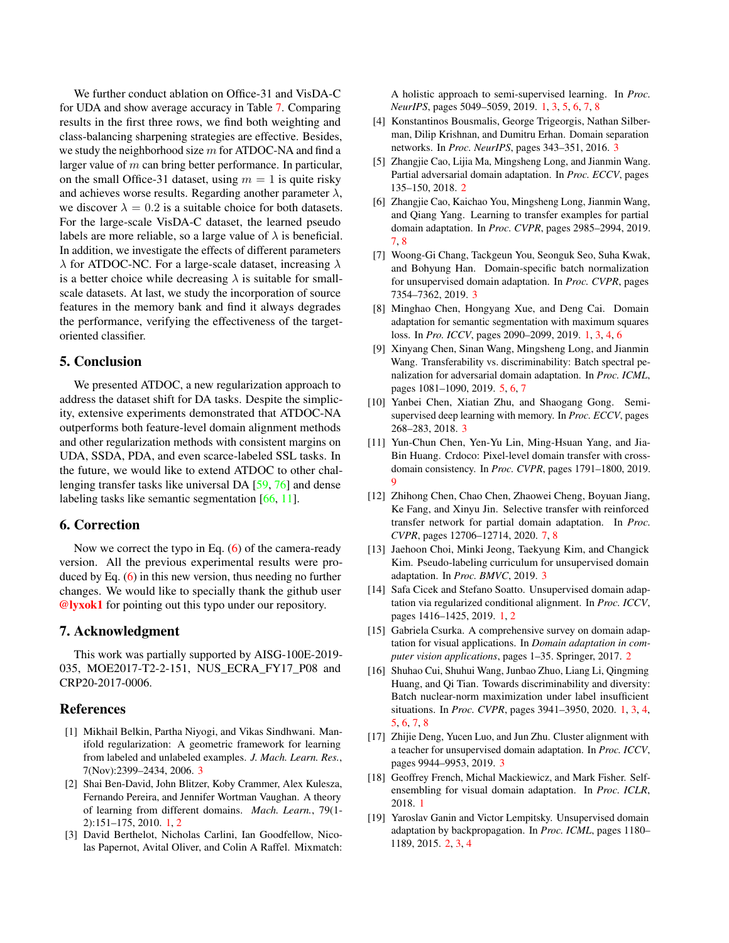<span id="page-8-19"></span>We further conduct ablation on Office-31 and VisDA-C for UDA and show average accuracy in Table [7.](#page-7-3) Comparing results in the first three rows, we find both weighting and class-balancing sharpening strategies are effective. Besides, we study the neighborhood size  $m$  for ATDOC-NA and find a larger value of  $m$  can bring better performance. In particular, on the small Office-31 dataset, using  $m = 1$  is quite risky and achieves worse results. Regarding another parameter  $\lambda$ , we discover  $\lambda = 0.2$  is a suitable choice for both datasets. For the large-scale VisDA-C dataset, the learned pseudo labels are more reliable, so a large value of  $\lambda$  is beneficial. In addition, we investigate the effects of different parameters  $\lambda$  for ATDOC-NC. For a large-scale dataset, increasing  $\lambda$ is a better choice while decreasing  $\lambda$  is suitable for smallscale datasets. At last, we study the incorporation of source features in the memory bank and find it always degrades the performance, verifying the effectiveness of the targetoriented classifier.

# 5. Conclusion

We presented ATDOC, a new regularization approach to address the dataset shift for DA tasks. Despite the simplicity, extensive experiments demonstrated that ATDOC-NA outperforms both feature-level domain alignment methods and other regularization methods with consistent margins on UDA, SSDA, PDA, and even scarce-labeled SSL tasks. In the future, we would like to extend ATDOC to other challenging transfer tasks like universal DA [\[59,](#page-10-21) [76\]](#page-10-30) and dense labeling tasks like semantic segmentation [\[66,](#page-10-3) [11\]](#page-8-18).

### 6. Correction

Now we correct the typo in Eq. [\(6\)](#page-4-1) of the camera-ready version. All the previous experimental results were produced by Eq. [\(6\)](#page-4-1) in this new version, thus needing no further changes. We would like to specially thank the github user @lyxok1 for pointing out this typo under our repository.

# 7. Acknowledgment

This work was partially supported by AISG-100E-2019- 035, MOE2017-T2-2-151, NUS\_ECRA\_FY17\_P08 and CRP20-2017-0006.

# References

- <span id="page-8-11"></span>[1] Mikhail Belkin, Partha Niyogi, and Vikas Sindhwani. Manifold regularization: A geometric framework for learning from labeled and unlabeled examples. *J. Mach. Learn. Res.*, 7(Nov):2399–2434, 2006. [3](#page-2-0)
- <span id="page-8-1"></span>[2] Shai Ben-David, John Blitzer, Koby Crammer, Alex Kulesza, Fernando Pereira, and Jennifer Wortman Vaughan. A theory of learning from different domains. *Mach. Learn.*, 79(1- 2):151–175, 2010. [1,](#page-0-0) [2](#page-1-1)
- <span id="page-8-5"></span>[3] David Berthelot, Nicholas Carlini, Ian Goodfellow, Nicolas Papernot, Avital Oliver, and Colin A Raffel. Mixmatch:

A holistic approach to semi-supervised learning. In *Proc. NeurIPS*, pages 5049–5059, 2019. [1,](#page-0-0) [3,](#page-2-0) [5,](#page-4-2) [6,](#page-5-2) [7,](#page-6-2) [8](#page-7-4)

- <span id="page-8-9"></span>[4] Konstantinos Bousmalis, George Trigeorgis, Nathan Silberman, Dilip Krishnan, and Dumitru Erhan. Domain separation networks. In *Proc. NeurIPS*, pages 343–351, 2016. [3](#page-2-0)
- <span id="page-8-6"></span>[5] Zhangjie Cao, Lijia Ma, Mingsheng Long, and Jianmin Wang. Partial adversarial domain adaptation. In *Proc. ECCV*, pages 135–150, 2018. [2](#page-1-1)
- <span id="page-8-16"></span>[6] Zhangjie Cao, Kaichao You, Mingsheng Long, Jianmin Wang, and Qiang Yang. Learning to transfer examples for partial domain adaptation. In *Proc. CVPR*, pages 2985–2994, 2019. [7,](#page-6-2) [8](#page-7-4)
- <span id="page-8-10"></span>[7] Woong-Gi Chang, Tackgeun You, Seonguk Seo, Suha Kwak, and Bohyung Han. Domain-specific batch normalization for unsupervised domain adaptation. In *Proc. CVPR*, pages 7354–7362, 2019. [3](#page-2-0)
- <span id="page-8-3"></span>[8] Minghao Chen, Hongyang Xue, and Deng Cai. Domain adaptation for semantic segmentation with maximum squares loss. In *Pro. ICCV*, pages 2090–2099, 2019. [1,](#page-0-0) [3,](#page-2-0) [4,](#page-3-0) [6](#page-5-2)
- <span id="page-8-15"></span>[9] Xinyang Chen, Sinan Wang, Mingsheng Long, and Jianmin Wang. Transferability vs. discriminability: Batch spectral penalization for adversarial domain adaptation. In *Proc. ICML*, pages 1081–1090, 2019. [5,](#page-4-2) [6,](#page-5-2) [7](#page-6-2)
- <span id="page-8-14"></span>[10] Yanbei Chen, Xiatian Zhu, and Shaogang Gong. Semisupervised deep learning with memory. In *Proc. ECCV*, pages 268–283, 2018. [3](#page-2-0)
- <span id="page-8-18"></span>[11] Yun-Chun Chen, Yen-Yu Lin, Ming-Hsuan Yang, and Jia-Bin Huang. Crdoco: Pixel-level domain transfer with crossdomain consistency. In *Proc. CVPR*, pages 1791–1800, 2019. [9](#page-8-19)
- <span id="page-8-17"></span>[12] Zhihong Chen, Chao Chen, Zhaowei Cheng, Boyuan Jiang, Ke Fang, and Xinyu Jin. Selective transfer with reinforced transfer network for partial domain adaptation. In *Proc. CVPR*, pages 12706–12714, 2020. [7,](#page-6-2) [8](#page-7-4)
- <span id="page-8-13"></span>[13] Jaehoon Choi, Minki Jeong, Taekyung Kim, and Changick Kim. Pseudo-labeling curriculum for unsupervised domain adaptation. In *Proc. BMVC*, 2019. [3](#page-2-0)
- <span id="page-8-0"></span>[14] Safa Cicek and Stefano Soatto. Unsupervised domain adaptation via regularized conditional alignment. In *Proc. ICCV*, pages 1416–1425, 2019. [1,](#page-0-0) [2](#page-1-1)
- <span id="page-8-7"></span>[15] Gabriela Csurka. A comprehensive survey on domain adaptation for visual applications. In *Domain adaptation in computer vision applications*, pages 1–35. Springer, 2017. [2](#page-1-1)
- <span id="page-8-4"></span>[16] Shuhao Cui, Shuhui Wang, Junbao Zhuo, Liang Li, Qingming Huang, and Qi Tian. Towards discriminability and diversity: Batch nuclear-norm maximization under label insufficient situations. In *Proc. CVPR*, pages 3941–3950, 2020. [1,](#page-0-0) [3,](#page-2-0) [4,](#page-3-0) [5,](#page-4-2) [6,](#page-5-2) [7,](#page-6-2) [8](#page-7-4)
- <span id="page-8-12"></span>[17] Zhijie Deng, Yucen Luo, and Jun Zhu. Cluster alignment with a teacher for unsupervised domain adaptation. In *Proc. ICCV*, pages 9944–9953, 2019. [3](#page-2-0)
- <span id="page-8-2"></span>[18] Geoffrey French, Michal Mackiewicz, and Mark Fisher. Selfensembling for visual domain adaptation. In *Proc. ICLR*, 2018. [1](#page-0-0)
- <span id="page-8-8"></span>[19] Yaroslav Ganin and Victor Lempitsky. Unsupervised domain adaptation by backpropagation. In *Proc. ICML*, pages 1180– 1189, 2015. [2,](#page-1-1) [3,](#page-2-0) [4](#page-3-0)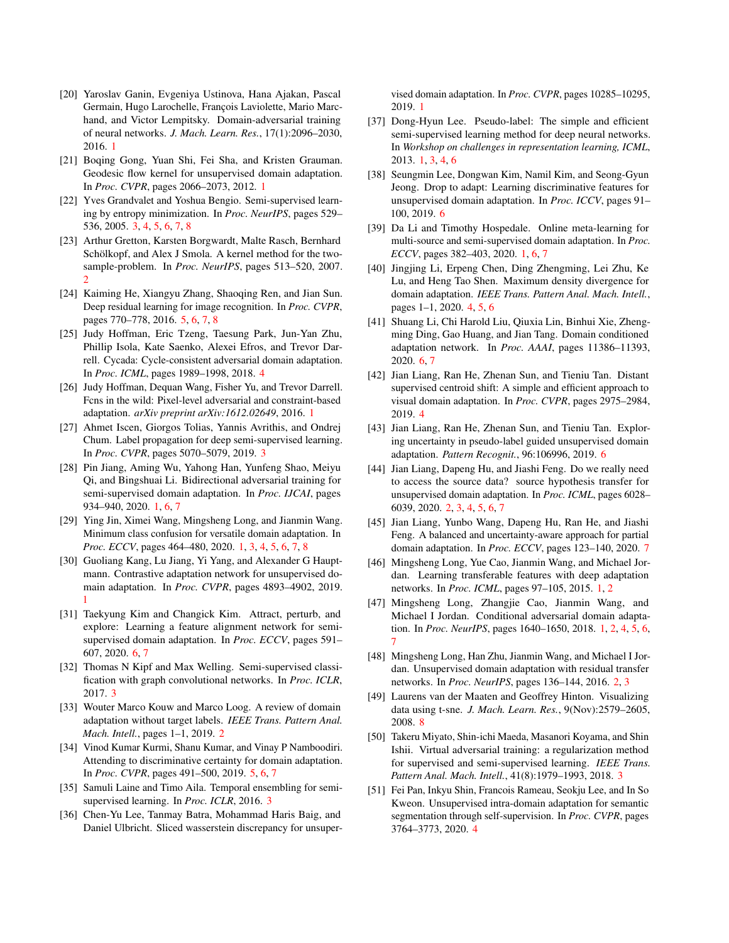- <span id="page-9-1"></span>[20] Yaroslav Ganin, Evgeniya Ustinova, Hana Ajakan, Pascal Germain, Hugo Larochelle, François Laviolette, Mario Marchand, and Victor Lempitsky. Domain-adversarial training of neural networks. *J. Mach. Learn. Res.*, 17(1):2096–2030, 2016. [1](#page-0-0)
- <span id="page-9-0"></span>[21] Boqing Gong, Yuan Shi, Fei Sha, and Kristen Grauman. Geodesic flow kernel for unsupervised domain adaptation. In *Proc. CVPR*, pages 2066–2073, 2012. [1](#page-0-0)
- <span id="page-9-15"></span>[22] Yves Grandvalet and Yoshua Bengio. Semi-supervised learning by entropy minimization. In *Proc. NeurIPS*, pages 529– 536, 2005. [3,](#page-2-0) [4,](#page-3-0) [5,](#page-4-2) [6,](#page-5-2) [7,](#page-6-2) [8](#page-7-4)
- <span id="page-9-12"></span>[23] Arthur Gretton, Karsten Borgwardt, Malte Rasch, Bernhard Schölkopf, and Alex J Smola. A kernel method for the twosample-problem. In *Proc. NeurIPS*, pages 513–520, 2007.  $\mathcal{D}$
- <span id="page-9-24"></span>[24] Kaiming He, Xiangyu Zhang, Shaoqing Ren, and Jian Sun. Deep residual learning for image recognition. In *Proc. CVPR*, pages 770–778, 2016. [5,](#page-4-2) [6,](#page-5-2) [7,](#page-6-2) [8](#page-7-4)
- <span id="page-9-20"></span>[25] Judy Hoffman, Eric Tzeng, Taesung Park, Jun-Yan Zhu, Phillip Isola, Kate Saenko, Alexei Efros, and Trevor Darrell. Cycada: Cycle-consistent adversarial domain adaptation. In *Proc. ICML*, pages 1989–1998, 2018. [4](#page-3-0)
- <span id="page-9-2"></span>[26] Judy Hoffman, Dequan Wang, Fisher Yu, and Trevor Darrell. Fcns in the wild: Pixel-level adversarial and constraint-based adaptation. *arXiv preprint arXiv:1612.02649*, 2016. [1](#page-0-0)
- <span id="page-9-19"></span>[27] Ahmet Iscen, Giorgos Tolias, Yannis Avrithis, and Ondrej Chum. Label propagation for deep semi-supervised learning. In *Proc. CVPR*, pages 5070–5079, 2019. [3](#page-2-0)
- <span id="page-9-3"></span>[28] Pin Jiang, Aming Wu, Yahong Han, Yunfeng Shao, Meiyu Qi, and Bingshuai Li. Bidirectional adversarial training for semi-supervised domain adaptation. In *Proc. IJCAI*, pages 934–940, 2020. [1,](#page-0-0) [6,](#page-5-2) [7](#page-6-2)
- <span id="page-9-9"></span>[29] Ying Jin, Ximei Wang, Mingsheng Long, and Jianmin Wang. Minimum class confusion for versatile domain adaptation. In *Proc. ECCV*, pages 464–480, 2020. [1,](#page-0-0) [3,](#page-2-0) [4,](#page-3-0) [5,](#page-4-2) [6,](#page-5-2) [7,](#page-6-2) [8](#page-7-4)
- <span id="page-9-8"></span>[30] Guoliang Kang, Lu Jiang, Yi Yang, and Alexander G Hauptmann. Contrastive adaptation network for unsupervised domain adaptation. In *Proc. CVPR*, pages 4893–4902, 2019. [1](#page-0-0)
- <span id="page-9-29"></span>[31] Taekyung Kim and Changick Kim. Attract, perturb, and explore: Learning a feature alignment network for semisupervised domain adaptation. In *Proc. ECCV*, pages 591– 607, 2020. [6,](#page-5-2) [7](#page-6-2)
- <span id="page-9-18"></span>[32] Thomas N Kipf and Max Welling. Semi-supervised classification with graph convolutional networks. In *Proc. ICLR*, 2017. [3](#page-2-0)
- <span id="page-9-11"></span>[33] Wouter Marco Kouw and Marco Loog. A review of domain adaptation without target labels. *IEEE Trans. Pattern Anal. Mach. Intell.*, pages 1–1, 2019. [2](#page-1-1)
- <span id="page-9-25"></span>[34] Vinod Kumar Kurmi, Shanu Kumar, and Vinay P Namboodiri. Attending to discriminative certainty for domain adaptation. In *Proc. CVPR*, pages 491–500, 2019. [5,](#page-4-2) [6,](#page-5-2) [7](#page-6-2)
- <span id="page-9-17"></span>[35] Samuli Laine and Timo Aila. Temporal ensembling for semisupervised learning. In *Proc. ICLR*, 2016. [3](#page-2-0)
- <span id="page-9-7"></span>[36] Chen-Yu Lee, Tanmay Batra, Mohammad Haris Baig, and Daniel Ulbricht. Sliced wasserstein discrepancy for unsuper-

vised domain adaptation. In *Proc. CVPR*, pages 10285–10295, 2019. [1](#page-0-0)

- <span id="page-9-10"></span>[37] Dong-Hyun Lee. Pseudo-label: The simple and efficient semi-supervised learning method for deep neural networks. In *Workshop on challenges in representation learning, ICML*, 2013. [1,](#page-0-0) [3,](#page-2-0) [4,](#page-3-0) [6](#page-5-2)
- <span id="page-9-26"></span>[38] Seungmin Lee, Dongwan Kim, Namil Kim, and Seong-Gyun Jeong. Drop to adapt: Learning discriminative features for unsupervised domain adaptation. In *Proc. ICCV*, pages 91– 100, 2019. [6](#page-5-2)
- <span id="page-9-4"></span>[39] Da Li and Timothy Hospedale. Online meta-learning for multi-source and semi-supervised domain adaptation. In *Proc. ECCV*, pages 382–403, 2020. [1,](#page-0-0) [6,](#page-5-2) [7](#page-6-2)
- <span id="page-9-21"></span>[40] Jingjing Li, Erpeng Chen, Ding Zhengming, Lei Zhu, Ke Lu, and Heng Tao Shen. Maximum density divergence for domain adaptation. *IEEE Trans. Pattern Anal. Mach. Intell.*, pages 1–1, 2020. [4,](#page-3-0) [5,](#page-4-2) [6](#page-5-2)
- <span id="page-9-28"></span>[41] Shuang Li, Chi Harold Liu, Qiuxia Lin, Binhui Xie, Zhengming Ding, Gao Huang, and Jian Tang. Domain conditioned adaptation network. In *Proc. AAAI*, pages 11386–11393, 2020. [6,](#page-5-2) [7](#page-6-2)
- <span id="page-9-23"></span>[42] Jian Liang, Ran He, Zhenan Sun, and Tieniu Tan. Distant supervised centroid shift: A simple and efficient approach to visual domain adaptation. In *Proc. CVPR*, pages 2975–2984, 2019. [4](#page-3-0)
- <span id="page-9-27"></span>[43] Jian Liang, Ran He, Zhenan Sun, and Tieniu Tan. Exploring uncertainty in pseudo-label guided unsupervised domain adaptation. *Pattern Recognit.*, 96:106996, 2019. [6](#page-5-2)
- <span id="page-9-14"></span>[44] Jian Liang, Dapeng Hu, and Jiashi Feng. Do we really need to access the source data? source hypothesis transfer for unsupervised domain adaptation. In *Proc. ICML*, pages 6028– 6039, 2020. [2,](#page-1-1) [3,](#page-2-0) [4,](#page-3-0) [5,](#page-4-2) [6,](#page-5-2) [7](#page-6-2)
- <span id="page-9-30"></span>[45] Jian Liang, Yunbo Wang, Dapeng Hu, Ran He, and Jiashi Feng. A balanced and uncertainty-aware approach for partial domain adaptation. In *Proc. ECCV*, pages 123–140, 2020. [7](#page-6-2)
- <span id="page-9-5"></span>[46] Mingsheng Long, Yue Cao, Jianmin Wang, and Michael Jordan. Learning transferable features with deep adaptation networks. In *Proc. ICML*, pages 97–105, 2015. [1,](#page-0-0) [2](#page-1-1)
- <span id="page-9-6"></span>[47] Mingsheng Long, Zhangjie Cao, Jianmin Wang, and Michael I Jordan. Conditional adversarial domain adaptation. In *Proc. NeurIPS*, pages 1640–1650, 2018. [1,](#page-0-0) [2,](#page-1-1) [4,](#page-3-0) [5,](#page-4-2) [6,](#page-5-2) [7](#page-6-2)
- <span id="page-9-13"></span>[48] Mingsheng Long, Han Zhu, Jianmin Wang, and Michael I Jordan. Unsupervised domain adaptation with residual transfer networks. In *Proc. NeurIPS*, pages 136–144, 2016. [2,](#page-1-1) [3](#page-2-0)
- <span id="page-9-31"></span>[49] Laurens van der Maaten and Geoffrey Hinton. Visualizing data using t-sne. *J. Mach. Learn. Res.*, 9(Nov):2579–2605, 2008. [8](#page-7-4)
- <span id="page-9-16"></span>[50] Takeru Miyato, Shin-ichi Maeda, Masanori Koyama, and Shin Ishii. Virtual adversarial training: a regularization method for supervised and semi-supervised learning. *IEEE Trans. Pattern Anal. Mach. Intell.*, 41(8):1979–1993, 2018. [3](#page-2-0)
- <span id="page-9-22"></span>[51] Fei Pan, Inkyu Shin, Francois Rameau, Seokju Lee, and In So Kweon. Unsupervised intra-domain adaptation for semantic segmentation through self-supervision. In *Proc. CVPR*, pages 3764–3773, 2020. [4](#page-3-0)